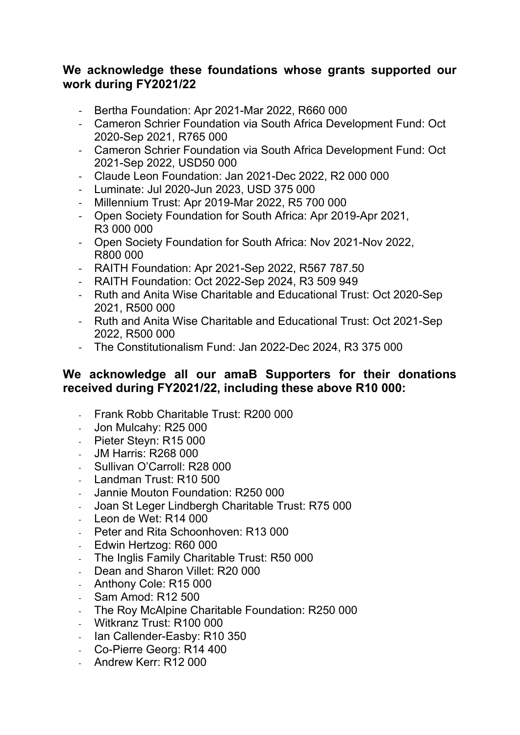### **We acknowledge these foundations whose grants supported our work during FY2021/22**

- Bertha Foundation: Apr 2021-Mar 2022, R660 000
- Cameron Schrier Foundation via South Africa Development Fund: Oct 2020-Sep 2021, R765 000
- Cameron Schrier Foundation via South Africa Development Fund: Oct 2021-Sep 2022, USD50 000
- Claude Leon Foundation: Jan 2021-Dec 2022, R2 000 000
- Luminate: Jul 2020-Jun 2023, USD 375 000
- Millennium Trust: Apr 2019-Mar 2022, R5 700 000
- Open Society Foundation for South Africa: Apr 2019-Apr 2021, R3 000 000
- Open Society Foundation for South Africa: Nov 2021-Nov 2022, R800 000
- RAITH Foundation: Apr 2021-Sep 2022, R567 787.50
- RAITH Foundation: Oct 2022-Sep 2024, R3 509 949
- Ruth and Anita Wise Charitable and Educational Trust: Oct 2020-Sep 2021, R500 000
- Ruth and Anita Wise Charitable and Educational Trust: Oct 2021-Sep 2022, R500 000
- The Constitutionalism Fund: Jan 2022-Dec 2024, R3 375 000

### **We acknowledge all our amaB Supporters for their donations received during FY2021/22, including these above R10 000:**

- Frank Robb Charitable Trust: R200 000
- Jon Mulcahy: R25 000
- Pieter Steyn: R15 000
- JM Harris: R268 000
- Sullivan O'Carroll: R28 000
- Landman Trust: R10 500
- Jannie Mouton Foundation: R250 000
- Joan St Leger Lindbergh Charitable Trust: R75 000
- Leon de Wet: R14 000
- Peter and Rita Schoonhoven: R13 000
- Edwin Hertzog: R60 000
- The Inglis Family Charitable Trust: R50 000
- Dean and Sharon Villet: R20 000
- Anthony Cole: R15 000
- Sam Amod: R12 500
- The Roy McAlpine Charitable Foundation: R250 000
- Witkranz Trust: R100 000
- Ian Callender-Easby: R10 350
- Co-Pierre Georg: R14 400
- Andrew Kerr: R12 000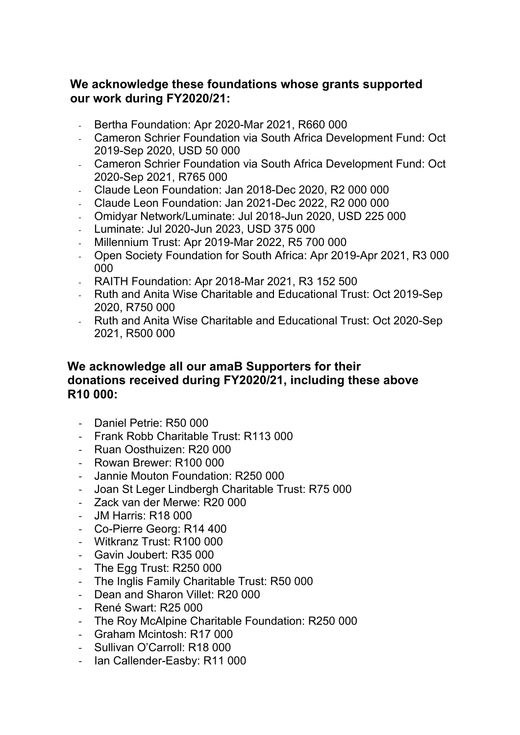# **We acknowledge these foundations whose grants supported our work during FY2020/21:**

- Bertha Foundation: Apr 2020-Mar 2021, R660 000
- Cameron Schrier Foundation via South Africa Development Fund: Oct 2019-Sep 2020, USD 50 000
- Cameron Schrier Foundation via South Africa Development Fund: Oct 2020-Sep 2021, R765 000
- Claude Leon Foundation: Jan 2018-Dec 2020, R2 000 000
- Claude Leon Foundation: Jan 2021-Dec 2022, R2 000 000
- Omidyar Network/Luminate: Jul 2018-Jun 2020, USD 225 000
- Luminate: Jul 2020-Jun 2023, USD 375 000
- Millennium Trust: Apr 2019-Mar 2022, R5 700 000
- Open Society Foundation for South Africa: Apr 2019-Apr 2021, R3 000 000
- RAITH Foundation: Apr 2018-Mar 2021, R3 152 500
- Ruth and Anita Wise Charitable and Educational Trust: Oct 2019-Sep 2020, R750 000
- Ruth and Anita Wise Charitable and Educational Trust: Oct 2020-Sep 2021, R500 000

## **We acknowledge all our amaB Supporters for their donations received during FY2020/21, including these above R10 000:**

- Daniel Petrie: R50 000
- Frank Robb Charitable Trust: R113 000
- Ruan Oosthuizen: R20 000
- Rowan Brewer: R100 000
- Jannie Mouton Foundation: R250 000
- Joan St Leger Lindbergh Charitable Trust: R75 000
- Zack van der Merwe: R20 000
- JM Harris: R18 000
- Co-Pierre Georg: R14 400
- Witkranz Trust: R100 000
- Gavin Joubert: R35 000
- The Egg Trust: R250 000
- The Inglis Family Charitable Trust: R50 000
- Dean and Sharon Villet: R20 000
- René Swart: R25 000
- The Roy McAlpine Charitable Foundation: R250 000
- Graham Mcintosh: R17 000
- Sullivan O'Carroll: R18 000
- Ian Callender-Easby: R11 000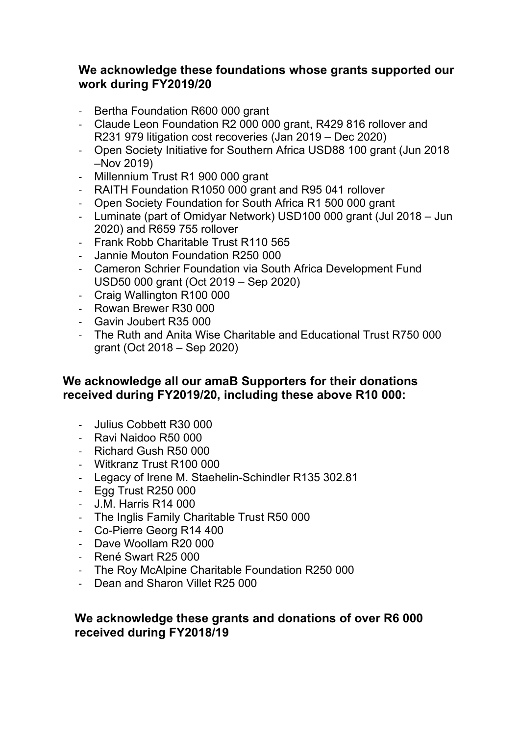## **We acknowledge these foundations whose grants supported our work during FY2019/20**

- Bertha Foundation R600 000 grant
- Claude Leon Foundation R2 000 000 grant, R429 816 rollover and R231 979 litigation cost recoveries (Jan 2019 – Dec 2020)
- Open Society Initiative for Southern Africa USD88 100 grant (Jun 2018 –Nov 2019)
- Millennium Trust R1 900 000 grant
- RAITH Foundation R1050 000 grant and R95 041 rollover
- Open Society Foundation for South Africa R1 500 000 grant
- Luminate (part of Omidyar Network) USD100 000 grant (Jul 2018 Jun 2020) and R659 755 rollover
- Frank Robb Charitable Trust R110 565
- Jannie Mouton Foundation R250 000
- Cameron Schrier Foundation via South Africa Development Fund USD50 000 grant (Oct 2019 – Sep 2020)
- Craig Wallington R100 000
- Rowan Brewer R30 000
- Gavin Joubert R35 000
- The Ruth and Anita Wise Charitable and Educational Trust R750 000 grant (Oct 2018 – Sep 2020)

### **We acknowledge all our amaB Supporters for their donations received during FY2019/20, including these above R10 000:**

- Julius Cobbett R30 000
- Ravi Naidoo R50 000
- Richard Gush R50 000
- Witkranz Trust R100 000
- Legacy of Irene M. Staehelin-Schindler R135 302.81
- Egg Trust R250 000
- J.M. Harris R14 000
- The Inglis Family Charitable Trust R50 000
- Co-Pierre Georg R14 400
- Dave Woollam R20 000
- René Swart R25 000
- The Roy McAlpine Charitable Foundation R250 000
- Dean and Sharon Villet R25 000

## **We acknowledge these grants and donations of over R6 000 received during FY2018/19**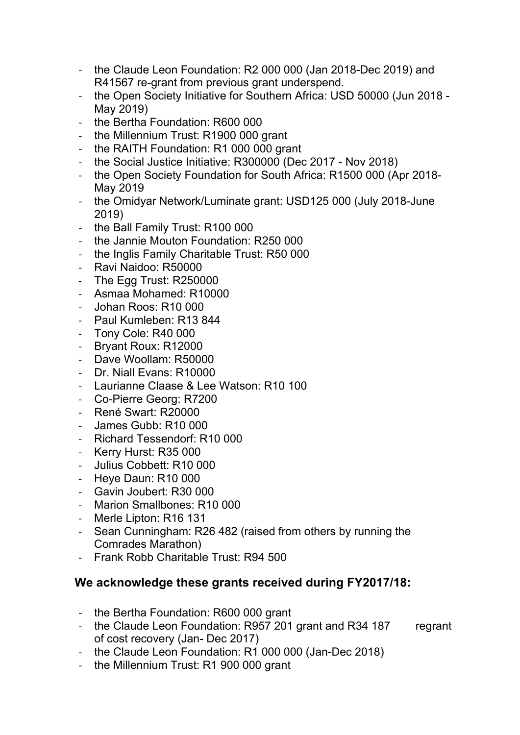- the Claude Leon Foundation: R2 000 000 (Jan 2018-Dec 2019) and R41567 re-grant from previous grant underspend.
- the Open Society Initiative for Southern Africa: USD 50000 (Jun 2018 May 2019)
- the Bertha Foundation: R600 000
- the Millennium Trust: R1900 000 grant
- the RAITH Foundation: R1 000 000 grant
- the Social Justice Initiative: R300000 (Dec 2017 Nov 2018)
- the Open Society Foundation for South Africa: R1500 000 (Apr 2018- May 2019
- the Omidyar Network/Luminate grant: USD125 000 (July 2018-June 2019)
- the Ball Family Trust: R100 000
- the Jannie Mouton Foundation: R250 000
- the Inglis Family Charitable Trust: R50 000
- Ravi Naidoo: R50000
- The Egg Trust: R250000
- Asmaa Mohamed: R10000
- Johan Roos: R10 000
- Paul Kumleben: R13 844
- Tony Cole: R40 000
- Bryant Roux: R12000
- Dave Woollam: R50000
- Dr. Niall Evans: R10000
- Laurianne Claase & Lee Watson: R10 100
- Co-Pierre Georg: R7200
- René Swart: R20000
- James Gubb: R10 000
- Richard Tessendorf: R10 000
- Kerry Hurst: R35 000
- Julius Cobbett: R10 000
- Heye Daun: R10 000
- Gavin Joubert: R30 000
- Marion Smallbones: R10 000
- Merle Lipton: R16 131
- Sean Cunningham: R26 482 (raised from others by running the Comrades Marathon)
- Frank Robb Charitable Trust: R94 500

# **We acknowledge these grants received during FY2017/18:**

- the Bertha Foundation: R600 000 grant
- the Claude Leon Foundation: R957 201 grant and R34 187 regrant of cost recovery (Jan- Dec 2017)
- the Claude Leon Foundation: R1 000 000 (Jan-Dec 2018)
- the Millennium Trust: R1 900 000 grant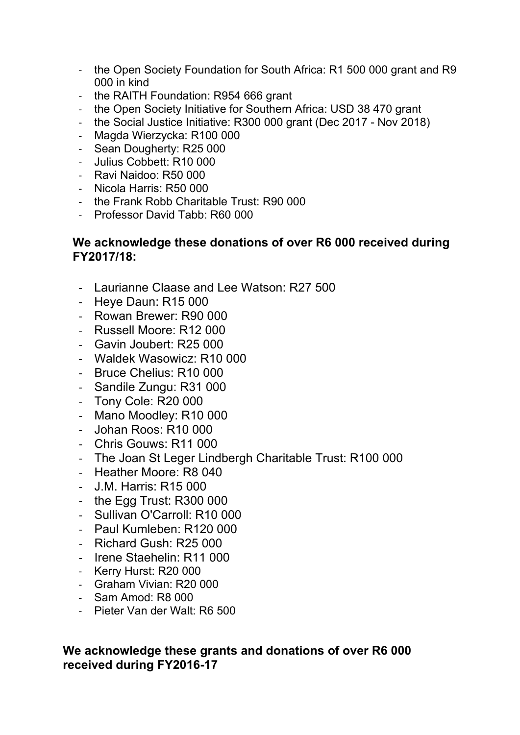- the Open Society Foundation for South Africa: R1 500 000 grant and R9 000 in kind
- the RAITH Foundation: R954 666 grant
- the Open Society Initiative for Southern Africa: USD 38 470 grant
- the Social Justice Initiative: R300 000 grant (Dec 2017 Nov 2018)
- Magda Wierzycka: R100 000
- Sean Dougherty: R25 000
- Julius Cobbett: R10 000
- Ravi Naidoo: R50 000
- Nicola Harris: R50 000
- the Frank Robb Charitable Trust: R90 000
- Professor David Tabb: R60 000

#### **We acknowledge these donations of over R6 000 received during FY2017/18:**

- Laurianne Claase and Lee Watson: R27 500
- Heye Daun: R15 000
- Rowan Brewer: R90 000
- Russell Moore: R12 000
- Gavin Joubert: R25 000
- Waldek Wasowicz: R10 000
- Bruce Chelius: R10 000
- Sandile Zungu: R31 000
- Tony Cole: R20 000
- Mano Moodley: R10 000
- Johan Roos: R10 000
- Chris Gouws: R11 000
- The Joan St Leger Lindbergh Charitable Trust: R100 000
- Heather Moore: R8 040
- J.M. Harris: R15 000
- the Egg Trust: R300 000
- Sullivan O'Carroll: R10 000
- Paul Kumleben: R120 000
- Richard Gush: R25 000
- Irene Staehelin: R11 000
- Kerry Hurst: R20 000
- Graham Vivian: R20 000
- Sam Amod: R8 000
- Pieter Van der Walt: R6 500

## **We acknowledge these grants and donations of over R6 000 received during FY2016-17**